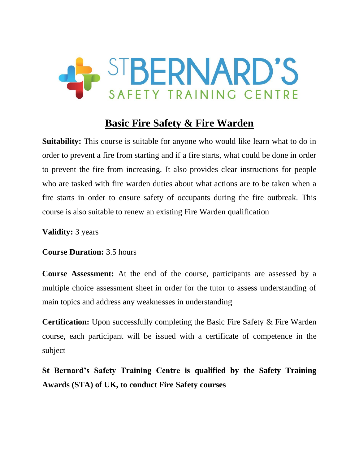

# **Basic Fire Safety & Fire Warden**

**Suitability:** This course is suitable for anyone who would like learn what to do in order to prevent a fire from starting and if a fire starts, what could be done in order to prevent the fire from increasing. It also provides clear instructions for people who are tasked with fire warden duties about what actions are to be taken when a fire starts in order to ensure safety of occupants during the fire outbreak. This course is also suitable to renew an existing Fire Warden qualification

**Validity:** 3 years

**Course Duration:** 3.5 hours

**Course Assessment:** At the end of the course, participants are assessed by a multiple choice assessment sheet in order for the tutor to assess understanding of main topics and address any weaknesses in understanding

**Certification:** Upon successfully completing the Basic Fire Safety & Fire Warden course, each participant will be issued with a certificate of competence in the subject

**St Bernard's Safety Training Centre is qualified by the Safety Training Awards (STA) of UK, to conduct Fire Safety courses**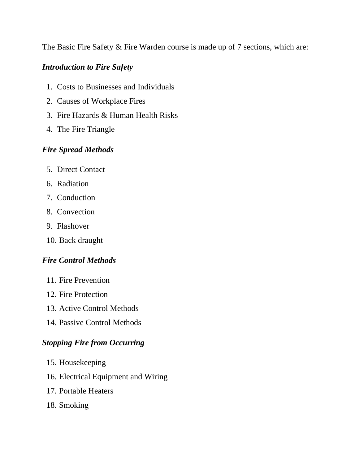The Basic Fire Safety & Fire Warden course is made up of 7 sections, which are:

### *Introduction to Fire Safety*

- 1. Costs to Businesses and Individuals
- 2. Causes of Workplace Fires
- 3. Fire Hazards & Human Health Risks
- 4. The Fire Triangle

### *Fire Spread Methods*

- 5. Direct Contact
- 6. Radiation
- 7. Conduction
- 8. Convection
- 9. Flashover
- 10. Back draught

## *Fire Control Methods*

- 11. Fire Prevention
- 12. Fire Protection
- 13. Active Control Methods
- 14. Passive Control Methods

### *Stopping Fire from Occurring*

- 15. Housekeeping
- 16. Electrical Equipment and Wiring
- 17. Portable Heaters
- 18. Smoking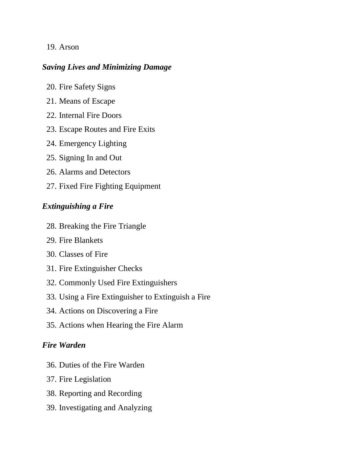#### 19. Arson

#### *Saving Lives and Minimizing Damage*

- 20. Fire Safety Signs
- 21. Means of Escape
- 22. Internal Fire Doors
- 23. Escape Routes and Fire Exits
- 24. Emergency Lighting
- 25. Signing In and Out
- 26. Alarms and Detectors
- 27. Fixed Fire Fighting Equipment

#### *Extinguishing a Fire*

- 28. Breaking the Fire Triangle
- 29. Fire Blankets
- 30. Classes of Fire
- 31. Fire Extinguisher Checks
- 32. Commonly Used Fire Extinguishers
- 33. Using a Fire Extinguisher to Extinguish a Fire
- 34. Actions on Discovering a Fire
- 35. Actions when Hearing the Fire Alarm

### *Fire Warden*

- 36. Duties of the Fire Warden
- 37. Fire Legislation
- 38. Reporting and Recording
- 39. Investigating and Analyzing